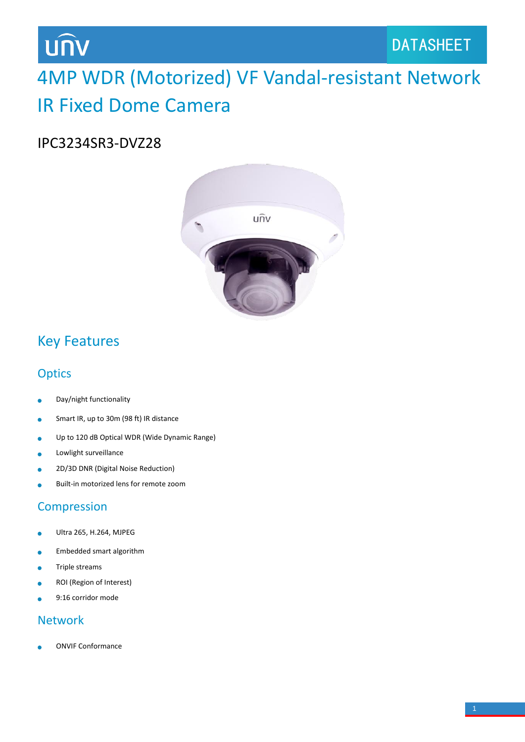# **UNV**

## 4MP WDR (Motorized) VF Vandal-resistant Network IR Fixed Dome Camera

### IPC3234SR3-DVZ28



### Key Features

### **Optics**

- Day/night functionality ò
- Smart IR, up to 30m (98 ft) IR distance  $\bullet$
- Up to 120 dB Optical WDR (Wide Dynamic Range)  $\bullet$
- Lowlight surveillance Ä
- 2D/3D DNR (Digital Noise Reduction)  $\bullet$
- Built-in motorized lens for remote zoom

### Compression

- Ultra 265, H.264, MJPEG  $\bullet$
- Embedded smart algorithm ò
- Triple streams Ä
- ROI (Region of Interest)
- 9:16 corridor mode

#### Network

ONVIF Conformance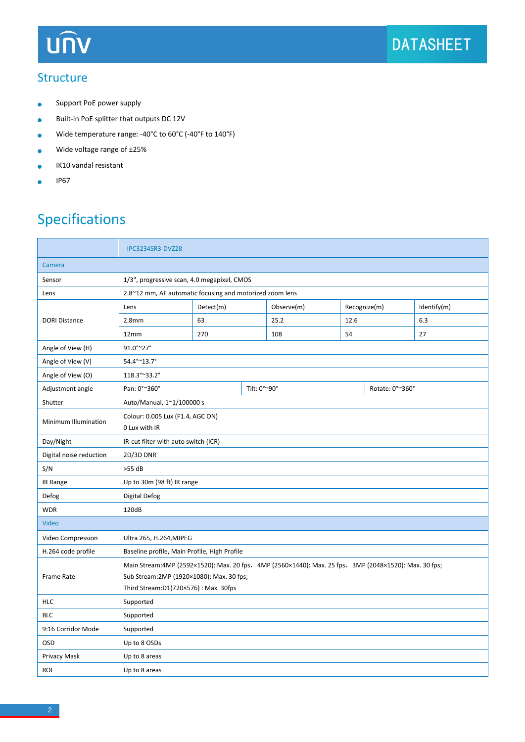## **UNV**

#### **Structure**

- Support PoE power supply  $\bullet$
- Built-in PoE splitter that outputs DC 12V  $\bullet$
- Wide temperature range: -40°C to 60°C (-40°F to 140°F)  $\bullet$
- Wide voltage range of ±25%  $\bullet$
- IK10 vandal resistant  $\bullet$
- IP67  $\blacksquare$

### Specifications

|                         | IPC3234SR3-DVZ28                                                                                      |                                      |  |            |              |                 |             |  |  |
|-------------------------|-------------------------------------------------------------------------------------------------------|--------------------------------------|--|------------|--------------|-----------------|-------------|--|--|
| Camera                  |                                                                                                       |                                      |  |            |              |                 |             |  |  |
| Sensor                  | 1/3", progressive scan, 4.0 megapixel, CMOS                                                           |                                      |  |            |              |                 |             |  |  |
| Lens                    | 2.8~12 mm, AF automatic focusing and motorized zoom lens                                              |                                      |  |            |              |                 |             |  |  |
| <b>DORI Distance</b>    | Lens                                                                                                  | Detect(m)                            |  | Observe(m) | Recognize(m) |                 | Identify(m) |  |  |
|                         | 2.8 <sub>mm</sub>                                                                                     | 63                                   |  | 25.2       | 12.6         |                 | 6.3         |  |  |
|                         | 12mm                                                                                                  | 270                                  |  | 108        | 54           |                 | 27          |  |  |
| Angle of View (H)       | 91.0°~27°                                                                                             |                                      |  |            |              |                 |             |  |  |
| Angle of View (V)       | 54.4°~13.7°                                                                                           |                                      |  |            |              |                 |             |  |  |
| Angle of View (O)       | 118.3°~33.2°                                                                                          |                                      |  |            |              |                 |             |  |  |
| Adjustment angle        | Pan: 0°~360°                                                                                          | Tilt: 0°~90°                         |  |            |              | Rotate: 0°~360° |             |  |  |
| Shutter                 | Auto/Manual, 1~1/100000 s                                                                             |                                      |  |            |              |                 |             |  |  |
| Minimum Illumination    | Colour: 0.005 Lux (F1.4, AGC ON)<br>0 Lux with IR                                                     |                                      |  |            |              |                 |             |  |  |
| Day/Night               | IR-cut filter with auto switch (ICR)                                                                  |                                      |  |            |              |                 |             |  |  |
| Digital noise reduction | 2D/3D DNR                                                                                             |                                      |  |            |              |                 |             |  |  |
| S/N                     | $>55$ dB                                                                                              |                                      |  |            |              |                 |             |  |  |
| IR Range                | Up to 30m (98 ft) IR range                                                                            |                                      |  |            |              |                 |             |  |  |
| Defog                   | <b>Digital Defog</b>                                                                                  |                                      |  |            |              |                 |             |  |  |
| <b>WDR</b>              | 120dB                                                                                                 |                                      |  |            |              |                 |             |  |  |
| Video                   |                                                                                                       |                                      |  |            |              |                 |             |  |  |
| Video Compression       | Ultra 265, H.264, MJPEG                                                                               |                                      |  |            |              |                 |             |  |  |
| H.264 code profile      | Baseline profile, Main Profile, High Profile                                                          |                                      |  |            |              |                 |             |  |  |
| Frame Rate              | Main Stream:4MP (2592×1520): Max. 20 fps, 4MP (2560×1440): Max. 25 fps, 3MP (2048×1520): Max. 30 fps; |                                      |  |            |              |                 |             |  |  |
|                         | Sub Stream: 2MP (1920×1080): Max. 30 fps;                                                             |                                      |  |            |              |                 |             |  |  |
|                         |                                                                                                       | Third Stream:D1(720×576): Max. 30fps |  |            |              |                 |             |  |  |
| <b>HLC</b>              | Supported                                                                                             |                                      |  |            |              |                 |             |  |  |
| <b>BLC</b>              | Supported                                                                                             |                                      |  |            |              |                 |             |  |  |
| 9:16 Corridor Mode      | Supported                                                                                             |                                      |  |            |              |                 |             |  |  |
| OSD                     | Up to 8 OSDs                                                                                          |                                      |  |            |              |                 |             |  |  |
| Privacy Mask            | Up to 8 areas                                                                                         |                                      |  |            |              |                 |             |  |  |
| <b>ROI</b>              | Up to 8 areas                                                                                         |                                      |  |            |              |                 |             |  |  |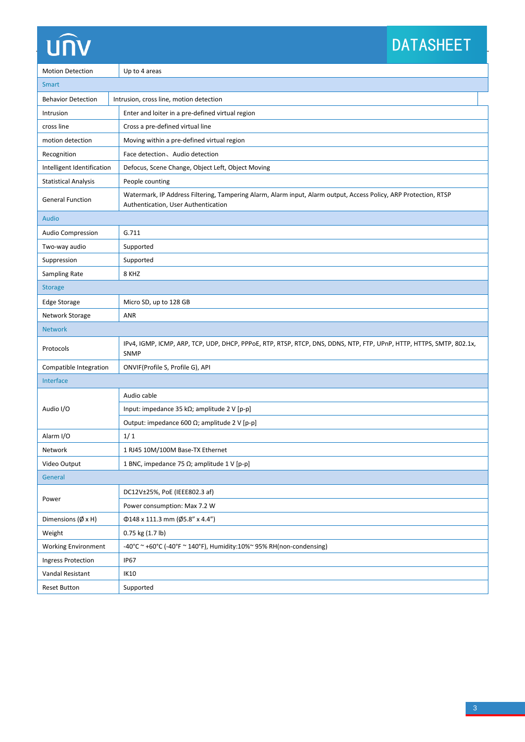# UN

## **DATASHEET**

| <b>Motion Detection</b>           | Up to 4 areas                                                                                                                                           |  |  |  |  |  |
|-----------------------------------|---------------------------------------------------------------------------------------------------------------------------------------------------------|--|--|--|--|--|
| Smart                             |                                                                                                                                                         |  |  |  |  |  |
| <b>Behavior Detection</b>         | Intrusion, cross line, motion detection                                                                                                                 |  |  |  |  |  |
| Intrusion                         | Enter and loiter in a pre-defined virtual region                                                                                                        |  |  |  |  |  |
| cross line                        | Cross a pre-defined virtual line                                                                                                                        |  |  |  |  |  |
| motion detection                  | Moving within a pre-defined virtual region                                                                                                              |  |  |  |  |  |
| Recognition                       | Face detection, Audio detection                                                                                                                         |  |  |  |  |  |
| Intelligent Identification        | Defocus, Scene Change, Object Left, Object Moving                                                                                                       |  |  |  |  |  |
| <b>Statistical Analysis</b>       | People counting                                                                                                                                         |  |  |  |  |  |
| <b>General Function</b>           | Watermark, IP Address Filtering, Tampering Alarm, Alarm input, Alarm output, Access Policy, ARP Protection, RTSP<br>Authentication, User Authentication |  |  |  |  |  |
| <b>Audio</b>                      |                                                                                                                                                         |  |  |  |  |  |
| <b>Audio Compression</b>          | G.711                                                                                                                                                   |  |  |  |  |  |
| Two-way audio                     | Supported                                                                                                                                               |  |  |  |  |  |
| Suppression                       | Supported                                                                                                                                               |  |  |  |  |  |
| Sampling Rate                     | 8 KHZ                                                                                                                                                   |  |  |  |  |  |
| <b>Storage</b>                    |                                                                                                                                                         |  |  |  |  |  |
| <b>Edge Storage</b>               | Micro SD, up to 128 GB                                                                                                                                  |  |  |  |  |  |
| Network Storage                   | <b>ANR</b>                                                                                                                                              |  |  |  |  |  |
| <b>Network</b>                    |                                                                                                                                                         |  |  |  |  |  |
| Protocols                         | IPv4, IGMP, ICMP, ARP, TCP, UDP, DHCP, PPPoE, RTP, RTSP, RTCP, DNS, DDNS, NTP, FTP, UPnP, HTTP, HTTPS, SMTP, 802.1x,<br>SNMP                            |  |  |  |  |  |
| Compatible Integration            | ONVIF(Profile S, Profile G), API                                                                                                                        |  |  |  |  |  |
| Interface                         |                                                                                                                                                         |  |  |  |  |  |
| Audio I/O                         | Audio cable                                                                                                                                             |  |  |  |  |  |
|                                   | Input: impedance 35 k $\Omega$ ; amplitude 2 V [p-p]                                                                                                    |  |  |  |  |  |
|                                   | Output: impedance 600 $\Omega$ ; amplitude 2 V [p-p]                                                                                                    |  |  |  |  |  |
| Alarm I/O                         | 1/1                                                                                                                                                     |  |  |  |  |  |
| Network                           | 1 RJ45 10M/100M Base-TX Ethernet                                                                                                                        |  |  |  |  |  |
| Video Output                      | 1 BNC, impedance 75 $\Omega$ ; amplitude 1 V [p-p]                                                                                                      |  |  |  |  |  |
| General                           |                                                                                                                                                         |  |  |  |  |  |
| Power                             | DC12V±25%, PoE (IEEE802.3 af)                                                                                                                           |  |  |  |  |  |
|                                   | Power consumption: Max 7.2 W                                                                                                                            |  |  |  |  |  |
| Dimensions $(\emptyset \times H)$ | $\Phi$ 148 x 111.3 mm (Ø5.8" x 4.4")                                                                                                                    |  |  |  |  |  |
| Weight                            | 0.75 kg (1.7 lb)                                                                                                                                        |  |  |  |  |  |
| <b>Working Environment</b>        | -40°C ~ +60°C (-40°F ~ 140°F), Humidity:10%~ 95% RH(non-condensing)                                                                                     |  |  |  |  |  |
| <b>Ingress Protection</b>         | <b>IP67</b>                                                                                                                                             |  |  |  |  |  |
| Vandal Resistant                  | <b>IK10</b>                                                                                                                                             |  |  |  |  |  |
| <b>Reset Button</b>               | Supported                                                                                                                                               |  |  |  |  |  |